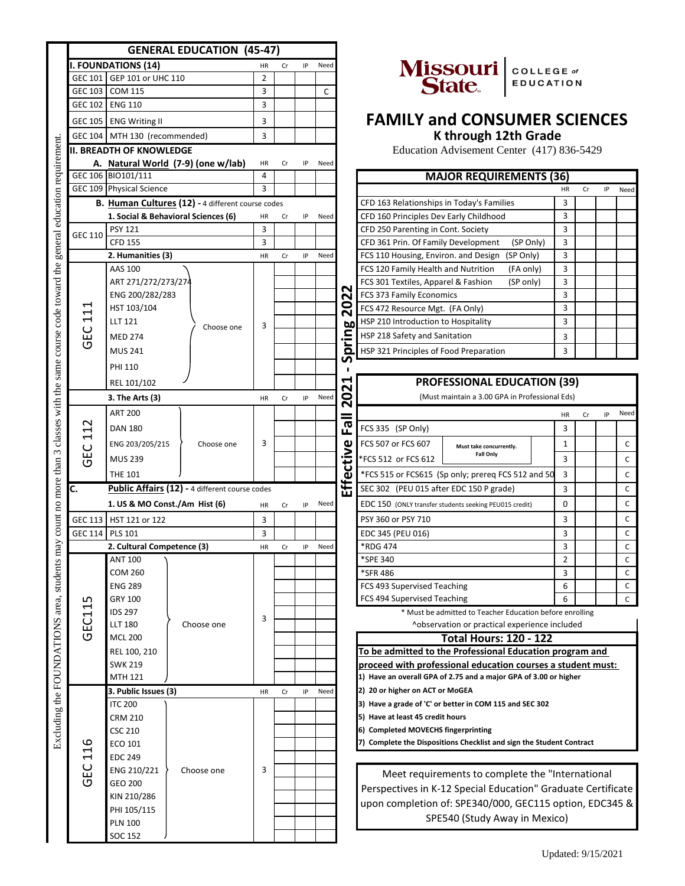|                                                                   | <b>GENERAL EDUCATION (45-47)</b>            |                                                                                          |            |                |    |    |      |           |                                                                         |                                                          |                  |              |    |    |              |
|-------------------------------------------------------------------|---------------------------------------------|------------------------------------------------------------------------------------------|------------|----------------|----|----|------|-----------|-------------------------------------------------------------------------|----------------------------------------------------------|------------------|--------------|----|----|--------------|
| general education requirement                                     |                                             | <b>I. FOUNDATIONS (14)</b>                                                               |            |                |    | IP | Need |           |                                                                         |                                                          |                  |              |    |    |              |
|                                                                   |                                             | GEC 101 GEP 101 or UHC 110                                                               |            | $\overline{2}$ |    |    |      |           |                                                                         | Missouri COLLEGE of                                      | <b>EDUCATION</b> |              |    |    |              |
|                                                                   |                                             | GEC 103 COM 115                                                                          |            | 3              |    |    | C    |           |                                                                         |                                                          |                  |              |    |    |              |
|                                                                   |                                             | GEC 102 ENG 110                                                                          |            | 3              |    |    |      |           |                                                                         |                                                          |                  |              |    |    |              |
|                                                                   |                                             | GEC 105 ENG Writing II                                                                   |            | 3              |    |    |      |           | <b>FAMILY and CONSUMER SCIENCES</b>                                     |                                                          |                  |              |    |    |              |
|                                                                   |                                             | GEC 104 MTH 130 (recommended)                                                            |            | 3              |    |    |      |           |                                                                         | K through 12th Grade                                     |                  |              |    |    |              |
|                                                                   |                                             |                                                                                          |            |                |    |    |      |           |                                                                         |                                                          |                  |              |    |    |              |
|                                                                   |                                             | <b>II. BREADTH OF KNOWLEDGE</b>                                                          |            |                |    |    |      |           |                                                                         | Education Advisement Center (417) 836-5429               |                  |              |    |    |              |
|                                                                   |                                             | A. Natural World (7-9) (one w/lab)<br>GEC 106 BIO101/111                                 |            | HR<br>4        | Cr | IP | Need |           |                                                                         |                                                          |                  |              |    |    |              |
|                                                                   |                                             | GEC 109 Physical Science                                                                 |            | 3              |    |    |      |           |                                                                         | <b>MAJOR REQUIREMENTS (36)</b>                           |                  | HR           | Cr | IP |              |
|                                                                   |                                             |                                                                                          |            |                |    |    |      |           |                                                                         |                                                          |                  |              |    |    | Need         |
|                                                                   |                                             | B. Human Cultures (12) - 4 different course codes<br>1. Social & Behavioral Sciences (6) |            |                |    |    |      |           | CFD 163 Relationships in Today's Families                               |                                                          |                  | 3<br>3       |    |    |              |
|                                                                   |                                             |                                                                                          |            | HR             | Cr | IP | Need |           | CFD 160 Principles Dev Early Childhood                                  |                                                          |                  |              |    |    |              |
|                                                                   | GEC 110                                     | <b>PSY 121</b><br><b>CFD 155</b>                                                         |            | 3<br>3         |    |    |      |           | CFD 250 Parenting in Cont. Society                                      |                                                          |                  | 3            |    |    |              |
|                                                                   |                                             | 2. Humanities (3)                                                                        |            |                |    |    |      |           | CFD 361 Prin. Of Family Development                                     |                                                          | (SP Only)        | 3<br>3       |    |    |              |
|                                                                   |                                             | AAS 100                                                                                  |            | HR             | Cr | IP | Need |           | FCS 110 Housing, Environ. and Design                                    |                                                          | (SP Only)        |              |    |    |              |
|                                                                   |                                             |                                                                                          |            |                |    |    |      |           | FCS 120 Family Health and Nutrition                                     |                                                          | (FA only)        | 3<br>3       |    |    |              |
|                                                                   |                                             | ART 271/272/273/274                                                                      |            |                |    |    |      | N         | FCS 301 Textiles, Apparel & Fashion                                     |                                                          | (SP only)        |              |    |    |              |
|                                                                   | ᆏ                                           | ENG 200/282/283                                                                          |            |                |    |    |      | 202       | FCS 373 Family Economics                                                |                                                          |                  | 3<br>3       |    |    |              |
|                                                                   | $\Xi$                                       | HST 103/104                                                                              |            |                |    |    |      | ring      | FCS 472 Resource Mgt. (FA Only)                                         |                                                          |                  |              |    |    |              |
|                                                                   | $\cup$                                      | <b>LLT 121</b>                                                                           | Choose one | 3              |    |    |      |           | HSP 210 Introduction to Hospitality                                     |                                                          |                  | 3            |    |    |              |
|                                                                   | ம்<br>פ                                     | <b>MED 274</b>                                                                           |            |                |    |    |      |           | HSP 218 Safety and Sanitation                                           |                                                          |                  | 3            |    |    |              |
|                                                                   |                                             | <b>MUS 241</b>                                                                           |            |                |    |    |      | ൎ         | HSP 321 Principles of Food Preparation                                  |                                                          |                  | 3            |    |    |              |
|                                                                   |                                             | <b>PHI 110</b>                                                                           |            |                |    |    |      |           |                                                                         |                                                          |                  |              |    |    |              |
|                                                                   |                                             | REL 101/102                                                                              |            |                |    |    |      |           |                                                                         | <b>PROFESSIONAL EDUCATION (39)</b>                       |                  |              |    |    |              |
|                                                                   |                                             | 3. The Arts (3)                                                                          |            | HR             | Cr | IP | Need | N         |                                                                         | (Must maintain a 3.00 GPA in Professional Eds)           |                  |              |    |    |              |
|                                                                   |                                             |                                                                                          |            |                |    |    |      | 20        |                                                                         |                                                          |                  |              |    |    |              |
|                                                                   | $\sim$<br>1<br>$\blacktriangleright$<br>ပ္မ | <b>ART 200</b>                                                                           |            |                |    |    |      |           |                                                                         |                                                          |                  | HR           | Cr | IP | Need         |
|                                                                   |                                             | <b>DAN 180</b>                                                                           |            |                |    |    |      | 군         | FCS 335 (SP Only)                                                       |                                                          |                  | 3            |    |    |              |
|                                                                   |                                             | ENG 203/205/215                                                                          | Choose one | 3              |    |    |      |           | FCS 507 or FCS 607                                                      | Must take concurrently.                                  |                  | $\mathbf{1}$ |    |    | $\mathsf{C}$ |
| count no more than 3 classes with the same course code toward the | פ                                           | <b>MUS 239</b>                                                                           |            |                |    |    |      |           | *FCS 512 or FCS 612                                                     | <b>Fall Only</b>                                         |                  | 3            |    |    | C            |
|                                                                   |                                             | <b>THE 101</b>                                                                           |            |                |    |    |      | Effective | *FCS 515 or FCS615 (Sp only; prereq FCS 512 and 50                      |                                                          |                  | 3            |    |    | C            |
|                                                                   | C.                                          | Public Affairs (12) - 4 different course codes                                           |            |                |    |    |      |           | SEC 302 (PEU 015 after EDC 150 P grade)                                 |                                                          |                  | 3            |    |    | $\mathsf{C}$ |
|                                                                   |                                             | 1. US & MO Const./Am Hist (6)                                                            |            |                |    |    | Need |           |                                                                         |                                                          |                  | $\mathbf 0$  |    |    | $\mathsf C$  |
|                                                                   |                                             |                                                                                          |            | HR             | Cr | IP |      |           | EDC 150 (ONLY transfer students seeking PEU015 credit)                  |                                                          |                  |              |    |    |              |
|                                                                   |                                             | GEC 113 HST 121 or 122                                                                   |            | 3              |    |    |      |           | PSY 360 or PSY 710                                                      |                                                          |                  | 3            |    |    | $\mathsf{C}$ |
|                                                                   | GEC 114 PLS 101                             |                                                                                          |            | 3              |    |    |      |           | EDC 345 (PEU 016)                                                       |                                                          |                  | 3            |    |    | $\mathsf{C}$ |
|                                                                   |                                             | 2. Cultural Competence (3)                                                               |            | HR             | Cr | IP | Need |           | *RDG 474                                                                |                                                          |                  | 3            |    |    | $\mathsf C$  |
|                                                                   |                                             | <b>ANT 100</b>                                                                           |            |                |    |    |      |           | *SPE 340                                                                |                                                          |                  | 2            |    |    | C            |
|                                                                   |                                             | <b>COM 260</b>                                                                           |            |                |    |    |      |           | *SFR 486                                                                |                                                          |                  | 3            |    |    | C            |
|                                                                   |                                             | <b>ENG 289</b>                                                                           |            |                |    |    |      |           | FCS 493 Supervised Teaching                                             |                                                          |                  | 6            |    |    | C            |
|                                                                   | ഗ<br>$\blacktriangleright$                  | GRY 100                                                                                  |            |                |    |    |      |           | FCS 494 Supervised Teaching                                             |                                                          |                  | 6            |    |    | C            |
|                                                                   | ECT                                         | <b>IDS 297</b>                                                                           |            | 3              |    |    |      |           |                                                                         | * Must be admitted to Teacher Education before enrolling |                  |              |    |    |              |
| Excluding the FOUNDATIONS area, students may                      |                                             | <b>LLT 180</b>                                                                           | Choose one |                |    |    |      |           |                                                                         | ^observation or practical experience included            |                  |              |    |    |              |
|                                                                   | ত                                           | <b>MCL 200</b>                                                                           |            |                |    |    |      |           |                                                                         | <b>Total Hours: 120 - 122</b>                            |                  |              |    |    |              |
|                                                                   |                                             | REL 100, 210                                                                             |            |                |    |    |      |           | To be admitted to the Professional Education program and                |                                                          |                  |              |    |    |              |
|                                                                   |                                             | <b>SWK 219</b>                                                                           |            |                |    |    |      |           | proceed with professional education courses a student must:             |                                                          |                  |              |    |    |              |
|                                                                   |                                             | <b>MTH 121</b>                                                                           |            |                |    |    |      |           | 1) Have an overall GPA of 2.75 and a major GPA of 3.00 or higher        |                                                          |                  |              |    |    |              |
|                                                                   |                                             | 3. Public Issues (3)                                                                     |            | HR             | Cr | IP | Need |           | 2) 20 or higher on ACT or MoGEA                                         |                                                          |                  |              |    |    |              |
|                                                                   |                                             | <b>ITC 200</b>                                                                           |            |                |    |    |      |           | 3) Have a grade of 'C' or better in COM 115 and SEC 302                 |                                                          |                  |              |    |    |              |
|                                                                   |                                             | <b>CRM 210</b>                                                                           |            |                |    |    |      |           | 5) Have at least 45 credit hours<br>6) Completed MOVECHS fingerprinting |                                                          |                  |              |    |    |              |
|                                                                   |                                             | <b>CSC 210</b>                                                                           |            |                |    |    |      |           |                                                                         |                                                          |                  |              |    |    |              |
|                                                                   | 116                                         | <b>ECO 101</b>                                                                           |            |                |    |    |      |           | 7) Complete the Dispositions Checklist and sign the Student Contract    |                                                          |                  |              |    |    |              |
|                                                                   |                                             | <b>EDC 249</b>                                                                           |            |                |    |    |      |           |                                                                         |                                                          |                  |              |    |    |              |
|                                                                   | 5E                                          | ENG 210/221                                                                              | Choose one | 3              |    |    |      |           | Meet requirements to complete the "International                        |                                                          |                  |              |    |    |              |
|                                                                   | ত                                           | GEO 200                                                                                  |            |                |    |    |      |           | Perspectives in K-12 Special Education" Graduate Certificate            |                                                          |                  |              |    |    |              |
|                                                                   |                                             | KIN 210/286                                                                              |            |                |    |    |      |           |                                                                         |                                                          |                  |              |    |    |              |
|                                                                   |                                             | PHI 105/115                                                                              |            |                |    |    |      |           | upon completion of: SPE340/000, GEC115 option, EDC345 &                 |                                                          |                  |              |    |    |              |
|                                                                   |                                             | <b>PLN 100</b>                                                                           |            |                |    |    |      |           |                                                                         | SPE540 (Study Away in Mexico)                            |                  |              |    |    |              |
|                                                                   |                                             | SOC 152                                                                                  |            |                |    |    |      |           |                                                                         |                                                          |                  |              |    |    |              |



# **FAMILY and CONSUMER SCIENCES**

| <b>MAJOR REQUIREMENTS (36)</b>                    |    |    |    |      |  |  |  |  |  |
|---------------------------------------------------|----|----|----|------|--|--|--|--|--|
|                                                   | HR | Cr | IP | Need |  |  |  |  |  |
| CFD 163 Relationships in Today's Families         | 3  |    |    |      |  |  |  |  |  |
| CFD 160 Principles Dev Early Childhood            | 3  |    |    |      |  |  |  |  |  |
| CFD 250 Parenting in Cont. Society                | 3  |    |    |      |  |  |  |  |  |
| CFD 361 Prin. Of Family Development<br>(SP Only)  | 3  |    |    |      |  |  |  |  |  |
| FCS 110 Housing, Environ. and Design<br>(SP Only) | 3  |    |    |      |  |  |  |  |  |
| FCS 120 Family Health and Nutrition<br>(FA only)  | 3  |    |    |      |  |  |  |  |  |
| FCS 301 Textiles, Apparel & Fashion<br>(SP only)  | 3  |    |    |      |  |  |  |  |  |
| FCS 373 Family Economics                          | 3  |    |    |      |  |  |  |  |  |
| FCS 472 Resource Mgt. (FA Only)                   | 3  |    |    |      |  |  |  |  |  |
| HSP 210 Introduction to Hospitality               | 3  |    |    |      |  |  |  |  |  |
| HSP 218 Safety and Sanitation                     | 3  |    |    |      |  |  |  |  |  |
| HSP 321 Principles of Food Preparation            | 3  |    |    |      |  |  |  |  |  |

## **PROFESSIONAL EDUCATION (39)**

|                               |           |                                                |    |      |          |                     |                         | <b>HR</b>                                                                                                                                                                    | Cr                                                 | IP | Need         |
|-------------------------------|-----------|------------------------------------------------|----|------|----------|---------------------|-------------------------|------------------------------------------------------------------------------------------------------------------------------------------------------------------------------|----------------------------------------------------|----|--------------|
|                               |           |                                                |    |      | ω<br>ய   | FCS 335 (SP Only)   |                         | 3                                                                                                                                                                            |                                                    |    |              |
| Choose one                    | 3         |                                                |    |      | ω        | FCS 507 or FCS 607  | Must take concurrently. |                                                                                                                                                                              |                                                    |    | $\mathsf{C}$ |
|                               |           |                                                |    |      | فساد     | *FCS 512 or FCS 612 |                         | 3                                                                                                                                                                            |                                                    |    | $\mathsf{C}$ |
|                               |           |                                                |    |      | ω        |                     |                         | 3                                                                                                                                                                            |                                                    |    | $\mathsf{C}$ |
|                               |           |                                                |    |      | ℡<br>ப்ப |                     |                         | 3                                                                                                                                                                            |                                                    |    | $\mathsf{C}$ |
| 1. US & MO Const./Am Hist (6) | <b>HR</b> | Cr.                                            | IP |      |          |                     |                         | 0                                                                                                                                                                            |                                                    |    | $\mathsf{C}$ |
|                               | 3         |                                                |    |      |          | PSY 360 or PSY 710  |                         | 3                                                                                                                                                                            |                                                    |    | $\mathsf{C}$ |
|                               | 3         |                                                |    |      |          | EDC 345 (PEU 016)   |                         | 3                                                                                                                                                                            |                                                    |    | $\mathsf{C}$ |
| 2. Cultural Competence (3)    | <b>HR</b> | Cr                                             | IP | Need |          | *RDG 474            |                         | 3                                                                                                                                                                            |                                                    |    | $\mathsf{C}$ |
|                               |           |                                                |    |      |          | *SPE 340            |                         | $\overline{2}$                                                                                                                                                               |                                                    |    | C            |
|                               |           |                                                |    |      |          | *SFR 486            |                         | 3                                                                                                                                                                            |                                                    |    | C            |
|                               |           |                                                |    |      |          |                     |                         | 6                                                                                                                                                                            |                                                    |    | C            |
|                               |           |                                                |    |      |          |                     |                         | 6                                                                                                                                                                            |                                                    |    | $\mathsf{C}$ |
|                               |           | Public Affairs (12) - 4 different course codes |    |      |          | uΞ<br>Need          |                         | Fall Only<br>SEC 302 (PEU 015 after EDC 150 P grade)<br>EDC 150 (ONLY transfer students seeking PEU015 credit)<br>FCS 493 Supervised Teaching<br>FCS 494 Supervised Teaching | *FCS 515 or FCS615 (Sp only; prereg FCS 512 and 50 |    |              |

| Total Hours: 120 - 122                                           |  |  |  |  |  |  |  |
|------------------------------------------------------------------|--|--|--|--|--|--|--|
| To be admitted to the Professional Education program and         |  |  |  |  |  |  |  |
| proceed with professional education courses a student must:      |  |  |  |  |  |  |  |
| 1) Have an overall GPA of 2.75 and a major GPA of 3.00 or higher |  |  |  |  |  |  |  |
| 2) 20 or higher on ACT or MoGEA                                  |  |  |  |  |  |  |  |
| 3) Have a grade of 'C' or better in COM 115 and SEC 302          |  |  |  |  |  |  |  |
| 5) Have at least 45 credit hours                                 |  |  |  |  |  |  |  |
| 6) Completed MOVECHS fingerprinting                              |  |  |  |  |  |  |  |